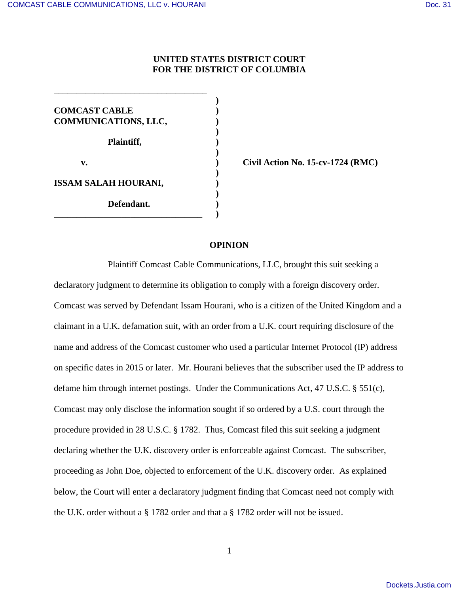# **UNITED STATES DISTRICT COURT FOR THE DISTRICT OF COLUMBIA**

**)** 

 **) COMCAST CABLE ) COMMUNICATIONS, LLC, ) Plaintiff, ) ) ) ISSAM SALAH HOURANI, ) ) Defendant. )**  \_\_\_\_\_\_\_\_\_\_\_\_\_\_\_\_\_\_\_\_\_\_\_\_\_\_\_\_\_\_\_\_\_ **)** 

\_\_\_\_\_\_\_\_\_\_\_\_\_\_\_\_\_\_\_\_\_\_\_\_\_\_\_\_\_\_\_\_\_\_

**v. b b c i c i c c i c i c i c i c i c i c i c i c i c i c i c i c i c i c i c i c i c i c i c i c i c i c i c**

### **OPINION**

Plaintiff Comcast Cable Communications, LLC, brought this suit seeking a declaratory judgment to determine its obligation to comply with a foreign discovery order. Comcast was served by Defendant Issam Hourani, who is a citizen of the United Kingdom and a claimant in a U.K. defamation suit, with an order from a U.K. court requiring disclosure of the name and address of the Comcast customer who used a particular Internet Protocol (IP) address on specific dates in 2015 or later. Mr. Hourani believes that the subscriber used the IP address to defame him through internet postings. Under the Communications Act, 47 U.S.C. § 551(c), Comcast may only disclose the information sought if so ordered by a U.S. court through the procedure provided in 28 U.S.C. § 1782. Thus, Comcast filed this suit seeking a judgment declaring whether the U.K. discovery order is enforceable against Comcast. The subscriber, proceeding as John Doe, objected to enforcement of the U.K. discovery order. As explained below, the Court will enter a declaratory judgment finding that Comcast need not comply with the U.K. order without a § 1782 order and that a § 1782 order will not be issued.

1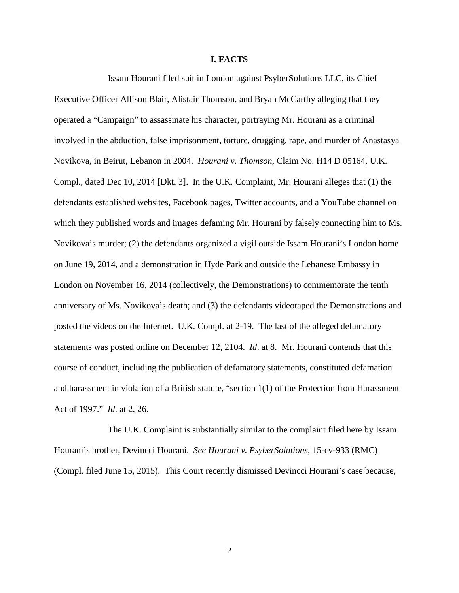### **I. FACTS**

Issam Hourani filed suit in London against PsyberSolutions LLC, its Chief Executive Officer Allison Blair, Alistair Thomson, and Bryan McCarthy alleging that they operated a "Campaign" to assassinate his character, portraying Mr. Hourani as a criminal involved in the abduction, false imprisonment, torture, drugging, rape, and murder of Anastasya Novikova, in Beirut, Lebanon in 2004. *Hourani v. Thomson*, Claim No. H14 D 05164, U.K. Compl., dated Dec 10, 2014 [Dkt. 3]. In the U.K. Complaint, Mr. Hourani alleges that (1) the defendants established websites, Facebook pages, Twitter accounts, and a YouTube channel on which they published words and images defaming Mr. Hourani by falsely connecting him to Ms. Novikova's murder; (2) the defendants organized a vigil outside Issam Hourani's London home on June 19, 2014, and a demonstration in Hyde Park and outside the Lebanese Embassy in London on November 16, 2014 (collectively, the Demonstrations) to commemorate the tenth anniversary of Ms. Novikova's death; and (3) the defendants videotaped the Demonstrations and posted the videos on the Internet. U.K. Compl. at 2-19. The last of the alleged defamatory statements was posted online on December 12, 2104. *Id*. at 8. Mr. Hourani contends that this course of conduct, including the publication of defamatory statements, constituted defamation and harassment in violation of a British statute, "section 1(1) of the Protection from Harassment Act of 1997." *Id*. at 2, 26.

The U.K. Complaint is substantially similar to the complaint filed here by Issam Hourani's brother, Devincci Hourani. *See Hourani v. PsyberSolutions*, 15-cv-933 (RMC) (Compl. filed June 15, 2015). This Court recently dismissed Devincci Hourani's case because,

2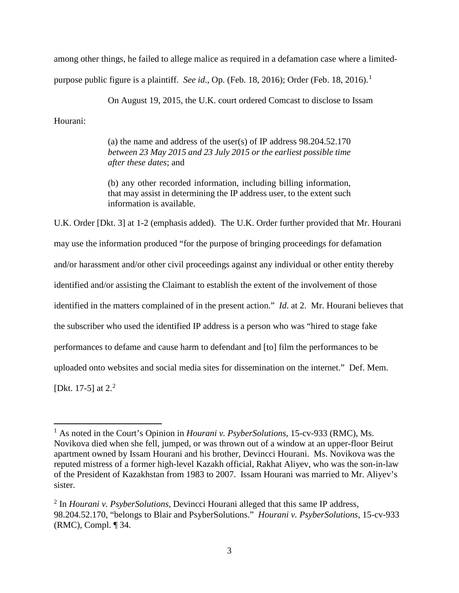among other things, he failed to allege malice as required in a defamation case where a limited-

purpose public figure is a plaintiff. *See id.*, Op. (Feb. [1](#page-2-0)8, 2016); Order (Feb. 18, 2016).<sup>1</sup>

On August 19, 2015, the U.K. court ordered Comcast to disclose to Issam

Hourani:

<u>.</u>

(a) the name and address of the user(s) of IP address 98.204.52.170 *between 23 May 2015 and 23 July 2015 or the earliest possible time after these dates*; and

(b) any other recorded information, including billing information, that may assist in determining the IP address user, to the extent such information is available.

U.K. Order [Dkt. 3] at 1-2 (emphasis added). The U.K. Order further provided that Mr. Hourani may use the information produced "for the purpose of bringing proceedings for defamation and/or harassment and/or other civil proceedings against any individual or other entity thereby identified and/or assisting the Claimant to establish the extent of the involvement of those identified in the matters complained of in the present action." *Id*. at 2. Mr. Hourani believes that the subscriber who used the identified IP address is a person who was "hired to stage fake performances to defame and cause harm to defendant and [to] film the performances to be uploaded onto websites and social media sites for dissemination on the internet." Def. Mem. [Dkt. 17-5] at  $2^2$  $2^2$ 

<span id="page-2-0"></span><sup>&</sup>lt;sup>1</sup> As noted in the Court's Opinion in *Hourani v. PsyberSolutions*, 15-cv-933 (RMC), Ms. Novikova died when she fell, jumped, or was thrown out of a window at an upper-floor Beirut apartment owned by Issam Hourani and his brother, Devincci Hourani. Ms. Novikova was the reputed mistress of a former high-level Kazakh official, Rakhat Aliyev, who was the son-in-law of the President of Kazakhstan from 1983 to 2007. Issam Hourani was married to Mr. Aliyev's sister.

<span id="page-2-1"></span><sup>2</sup> In *Hourani v. PsyberSolutions*, Devincci Hourani alleged that this same IP address, 98.204.52.170, "belongs to Blair and PsyberSolutions." *Hourani v. PsyberSolutions*, 15-cv-933 (RMC), Compl. ¶ 34.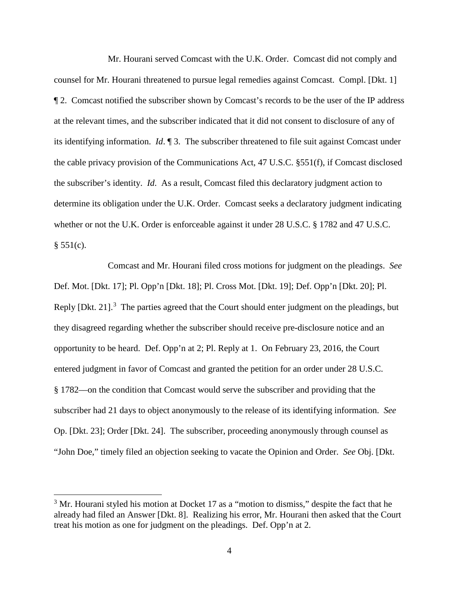Mr. Hourani served Comcast with the U.K. Order. Comcast did not comply and counsel for Mr. Hourani threatened to pursue legal remedies against Comcast. Compl. [Dkt. 1] ¶ 2. Comcast notified the subscriber shown by Comcast's records to be the user of the IP address at the relevant times, and the subscriber indicated that it did not consent to disclosure of any of its identifying information. *Id*. ¶ 3. The subscriber threatened to file suit against Comcast under the cable privacy provision of the Communications Act, 47 U.S.C. §551(f), if Comcast disclosed the subscriber's identity. *Id*. As a result, Comcast filed this declaratory judgment action to determine its obligation under the U.K. Order. Comcast seeks a declaratory judgment indicating whether or not the U.K. Order is enforceable against it under 28 U.S.C. § 1782 and 47 U.S.C.  $§ 551(c).$ 

 Comcast and Mr. Hourani filed cross motions for judgment on the pleadings. *See* Def. Mot. [Dkt. 17]; Pl. Opp'n [Dkt. 18]; Pl. Cross Mot. [Dkt. 19]; Def. Opp'n [Dkt. 20]; Pl. Reply [Dkt. 21].<sup>[3](#page-3-0)</sup> The parties agreed that the Court should enter judgment on the pleadings, but they disagreed regarding whether the subscriber should receive pre-disclosure notice and an opportunity to be heard. Def. Opp'n at 2; Pl. Reply at 1. On February 23, 2016, the Court entered judgment in favor of Comcast and granted the petition for an order under 28 U.S.C. § 1782––on the condition that Comcast would serve the subscriber and providing that the subscriber had 21 days to object anonymously to the release of its identifying information. *See* Op. [Dkt. 23]; Order [Dkt. 24]. The subscriber, proceeding anonymously through counsel as "John Doe," timely filed an objection seeking to vacate the Opinion and Order. *See* Obj. [Dkt.

 $\overline{a}$ 

<span id="page-3-0"></span> $3$  Mr. Hourani styled his motion at Docket 17 as a "motion to dismiss," despite the fact that he already had filed an Answer [Dkt. 8]. Realizing his error, Mr. Hourani then asked that the Court treat his motion as one for judgment on the pleadings. Def. Opp'n at 2.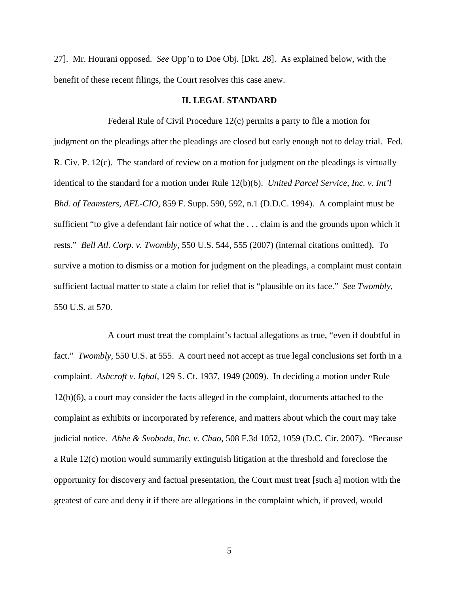27]. Mr. Hourani opposed. *See* Opp'n to Doe Obj. [Dkt. 28]. As explained below, with the benefit of these recent filings, the Court resolves this case anew.

### **II. LEGAL STANDARD**

 Federal Rule of Civil Procedure 12(c) permits a party to file a motion for judgment on the pleadings after the pleadings are closed but early enough not to delay trial. Fed. R. Civ. P. 12(c). The standard of review on a motion for judgment on the pleadings is virtually identical to the standard for a motion under Rule 12(b)(6). *United Parcel Service, Inc. v. Int'l Bhd. of Teamsters, AFL-CIO*, 859 F. Supp. 590, 592, n.1 (D.D.C. 1994). A complaint must be sufficient "to give a defendant fair notice of what the . . . claim is and the grounds upon which it rests." *Bell Atl. Corp. v. Twombly*, 550 U.S. 544, 555 (2007) (internal citations omitted). To survive a motion to dismiss or a motion for judgment on the pleadings, a complaint must contain sufficient factual matter to state a claim for relief that is "plausible on its face." *See Twombly*, 550 U.S. at 570.

A court must treat the complaint's factual allegations as true, "even if doubtful in fact." *Twombly*, 550 U.S. at 555. A court need not accept as true legal conclusions set forth in a complaint. *Ashcroft v. Iqbal*, 129 S. Ct. 1937, 1949 (2009). In deciding a motion under Rule 12(b)(6), a court may consider the facts alleged in the complaint, documents attached to the complaint as exhibits or incorporated by reference, and matters about which the court may take judicial notice. *Abhe & Svoboda, Inc. v. Chao*, 508 F.3d 1052, 1059 (D.C. Cir. 2007). "Because a Rule 12(c) motion would summarily extinguish litigation at the threshold and foreclose the opportunity for discovery and factual presentation, the Court must treat [such a] motion with the greatest of care and deny it if there are allegations in the complaint which, if proved, would

5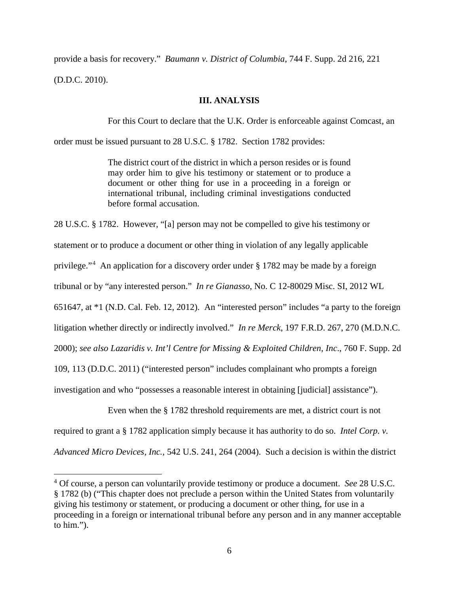provide a basis for recovery." *Baumann v. District of Columbia*, 744 F. Supp. 2d 216, 221

(D.D.C. 2010).

-

## **III. ANALYSIS**

For this Court to declare that the U.K. Order is enforceable against Comcast, an

order must be issued pursuant to 28 U.S.C. § 1782. Section 1782 provides:

The district court of the district in which a person resides or is found may order him to give his testimony or statement or to produce a document or other thing for use in a proceeding in a foreign or international tribunal, including criminal investigations conducted before formal accusation.

28 U.S.C. § 1782. However, "[a] person may not be compelled to give his testimony or statement or to produce a document or other thing in violation of any legally applicable privilege."<sup>[4](#page-5-0)</sup> An application for a discovery order under § 1782 may be made by a foreign tribunal or by "any interested person." *In re Gianasso*, No. C 12-80029 Misc. SI, 2012 WL 651647, at \*1 (N.D. Cal. Feb. 12, 2012). An "interested person" includes "a party to the foreign litigation whether directly or indirectly involved." *In re Merck*, 197 F.R.D. 267, 270 (M.D.N.C. 2000); *see also Lazaridis v. Int'l Centre for Missing & Exploited Children, Inc*., 760 F. Supp. 2d 109, 113 (D.D.C. 2011) ("interested person" includes complainant who prompts a foreign investigation and who "possesses a reasonable interest in obtaining [judicial] assistance").

Even when the § 1782 threshold requirements are met, a district court is not

required to grant a § 1782 application simply because it has authority to do so. *Intel Corp. v.* 

*Advanced Micro Devices, Inc.*, 542 U.S. 241, 264 (2004). Such a decision is within the district

<span id="page-5-0"></span><sup>4</sup> Of course, a person can voluntarily provide testimony or produce a document. *See* 28 U.S.C. § 1782 (b) ("This chapter does not preclude a person within the United States from voluntarily giving his testimony or statement, or producing a document or other thing, for use in a proceeding in a foreign or international tribunal before any person and in any manner acceptable to him.").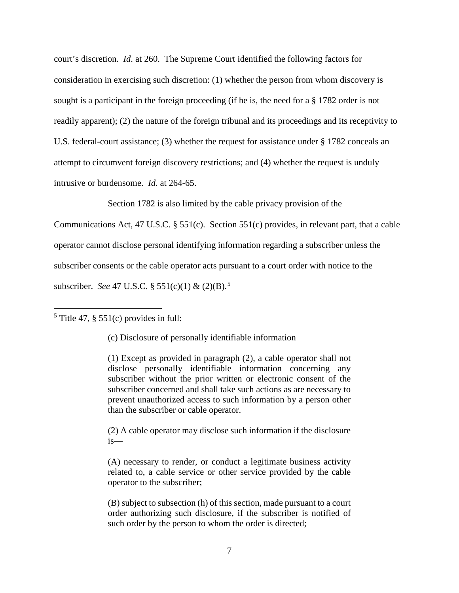court's discretion. *Id*. at 260. The Supreme Court identified the following factors for consideration in exercising such discretion: (1) whether the person from whom discovery is sought is a participant in the foreign proceeding (if he is, the need for a § 1782 order is not readily apparent); (2) the nature of the foreign tribunal and its proceedings and its receptivity to U.S. federal-court assistance; (3) whether the request for assistance under § 1782 conceals an attempt to circumvent foreign discovery restrictions; and (4) whether the request is unduly intrusive or burdensome. *Id*. at 264-65.

Section 1782 is also limited by the cable privacy provision of the

Communications Act, 47 U.S.C. § 551(c). Section 551(c) provides, in relevant part, that a cable operator cannot disclose personal identifying information regarding a subscriber unless the subscriber consents or the cable operator acts pursuant to a court order with notice to the subscriber. *See* 47 U.S.C. § 551(c)(1) & (2)(B).[5](#page-6-0) 

<span id="page-6-0"></span> $<sup>5</sup>$  Title 47, § 551(c) provides in full:</sup>

 $\overline{a}$ 

(c) Disclosure of personally identifiable information

(1) Except as provided in paragraph (2), a cable operator shall not disclose personally identifiable information concerning any subscriber without the prior written or electronic consent of the subscriber concerned and shall take such actions as are necessary to prevent unauthorized access to such information by a person other than the subscriber or cable operator.

(2) A cable operator may disclose such information if the disclosure is—

(A) necessary to render, or conduct a legitimate business activity related to, a cable service or other service provided by the cable operator to the subscriber;

(B) subject to subsection (h) of this section, made pursuant to a court order authorizing such disclosure, if the subscriber is notified of such order by the person to whom the order is directed;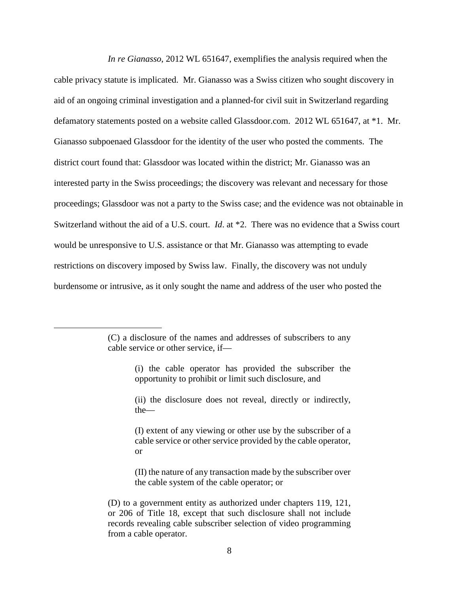*In re Gianasso*, 2012 WL 651647, exemplifies the analysis required when the cable privacy statute is implicated. Mr. Gianasso was a Swiss citizen who sought discovery in aid of an ongoing criminal investigation and a planned-for civil suit in Switzerland regarding defamatory statements posted on a website called Glassdoor.com. 2012 WL 651647, at \*1. Mr. Gianasso subpoenaed Glassdoor for the identity of the user who posted the comments. The district court found that: Glassdoor was located within the district; Mr. Gianasso was an interested party in the Swiss proceedings; the discovery was relevant and necessary for those proceedings; Glassdoor was not a party to the Swiss case; and the evidence was not obtainable in Switzerland without the aid of a U.S. court. *Id*. at \*2. There was no evidence that a Swiss court would be unresponsive to U.S. assistance or that Mr. Gianasso was attempting to evade restrictions on discovery imposed by Swiss law. Finally, the discovery was not unduly burdensome or intrusive, as it only sought the name and address of the user who posted the

-

<sup>(</sup>C) a disclosure of the names and addresses of subscribers to any cable service or other service, if—

<sup>(</sup>i) the cable operator has provided the subscriber the opportunity to prohibit or limit such disclosure, and

<sup>(</sup>ii) the disclosure does not reveal, directly or indirectly, the—

<sup>(</sup>I) extent of any viewing or other use by the subscriber of a cable service or other service provided by the cable operator, or

<sup>(</sup>II) the nature of any transaction made by the subscriber over the cable system of the cable operator; or

<sup>(</sup>D) to a government entity as authorized under chapters 119, 121, or 206 of Title 18, except that such disclosure shall not include records revealing cable subscriber selection of video programming from a cable operator.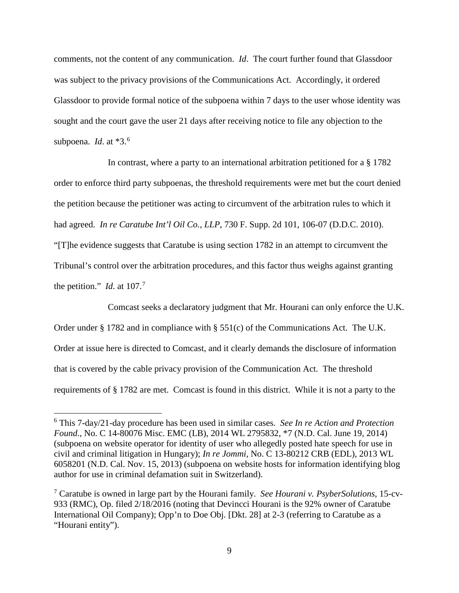comments, not the content of any communication. *Id*. The court further found that Glassdoor was subject to the privacy provisions of the Communications Act. Accordingly, it ordered Glassdoor to provide formal notice of the subpoena within 7 days to the user whose identity was sought and the court gave the user 21 days after receiving notice to file any objection to the subpoena. *Id*. at \*3.[6](#page-8-0)

In contrast, where a party to an international arbitration petitioned for a § 1782 order to enforce third party subpoenas, the threshold requirements were met but the court denied the petition because the petitioner was acting to circumvent of the arbitration rules to which it had agreed. *In re Caratube Int'l Oil Co., LLP*, 730 F. Supp. 2d 101, 106-07 (D.D.C. 2010). "[T]he evidence suggests that Caratube is using section 1782 in an attempt to circumvent the Tribunal's control over the arbitration procedures, and this factor thus weighs against granting the petition." *Id.* at  $107<sup>7</sup>$  $107<sup>7</sup>$  $107<sup>7</sup>$ 

Comcast seeks a declaratory judgment that Mr. Hourani can only enforce the U.K. Order under § 1782 and in compliance with § 551(c) of the Communications Act. The U.K. Order at issue here is directed to Comcast, and it clearly demands the disclosure of information that is covered by the cable privacy provision of the Communication Act. The threshold requirements of § 1782 are met. Comcast is found in this district. While it is not a party to the

 $\overline{a}$ 

<span id="page-8-0"></span><sup>6</sup> This 7-day/21-day procedure has been used in similar cases. *See In re Action and Protection Found*., No. C 14-80076 Misc. EMC (LB), 2014 WL 2795832, \*7 (N.D. Cal. June 19, 2014) (subpoena on website operator for identity of user who allegedly posted hate speech for use in civil and criminal litigation in Hungary); *In re Jommi*, No. C 13-80212 CRB (EDL), 2013 WL 6058201 (N.D. Cal. Nov. 15, 2013) (subpoena on website hosts for information identifying blog author for use in criminal defamation suit in Switzerland).

<span id="page-8-1"></span><sup>7</sup> Caratube is owned in large part by the Hourani family. *See Hourani v. PsyberSolutions*, 15-cv-933 (RMC), Op. filed 2/18/2016 (noting that Devincci Hourani is the 92% owner of Caratube International Oil Company); Opp'n to Doe Obj. [Dkt. 28] at 2-3 (referring to Caratube as a "Hourani entity").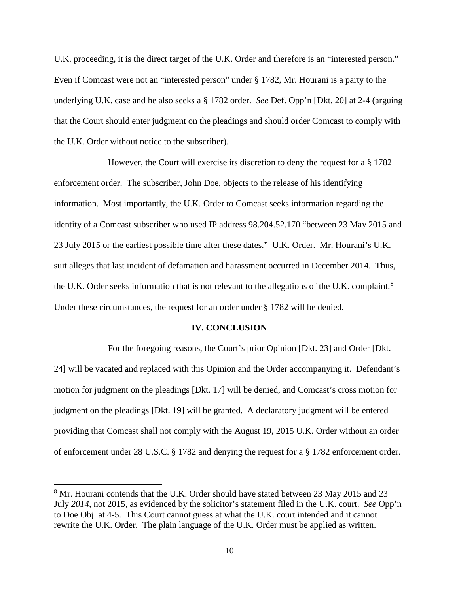U.K. proceeding, it is the direct target of the U.K. Order and therefore is an "interested person." Even if Comcast were not an "interested person" under § 1782, Mr. Hourani is a party to the underlying U.K. case and he also seeks a § 1782 order. *See* Def. Opp'n [Dkt. 20] at 2-4 (arguing that the Court should enter judgment on the pleadings and should order Comcast to comply with the U.K. Order without notice to the subscriber).

However, the Court will exercise its discretion to deny the request for a § 1782 enforcement order. The subscriber, John Doe, objects to the release of his identifying information. Most importantly, the U.K. Order to Comcast seeks information regarding the identity of a Comcast subscriber who used IP address 98.204.52.170 "between 23 May 2015 and 23 July 2015 or the earliest possible time after these dates." U.K. Order. Mr. Hourani's U.K. suit alleges that last incident of defamation and harassment occurred in December 2014. Thus, the U.K. Order seeks information that is not relevant to the allegations of the U.K. complaint.<sup>[8](#page-9-0)</sup> Under these circumstances, the request for an order under § 1782 will be denied.

### **IV. CONCLUSION**

For the foregoing reasons, the Court's prior Opinion [Dkt. 23] and Order [Dkt. 24] will be vacated and replaced with this Opinion and the Order accompanying it. Defendant's motion for judgment on the pleadings [Dkt. 17] will be denied, and Comcast's cross motion for judgment on the pleadings [Dkt. 19] will be granted. A declaratory judgment will be entered providing that Comcast shall not comply with the August 19, 2015 U.K. Order without an order of enforcement under 28 U.S.C. § 1782 and denying the request for a § 1782 enforcement order.

<u>.</u>

<span id="page-9-0"></span><sup>&</sup>lt;sup>8</sup> Mr. Hourani contends that the U.K. Order should have stated between 23 May 2015 and 23 July *2014*, not 2015, as evidenced by the solicitor's statement filed in the U.K. court. *See* Opp'n to Doe Obj. at 4-5. This Court cannot guess at what the U.K. court intended and it cannot rewrite the U.K. Order. The plain language of the U.K. Order must be applied as written.